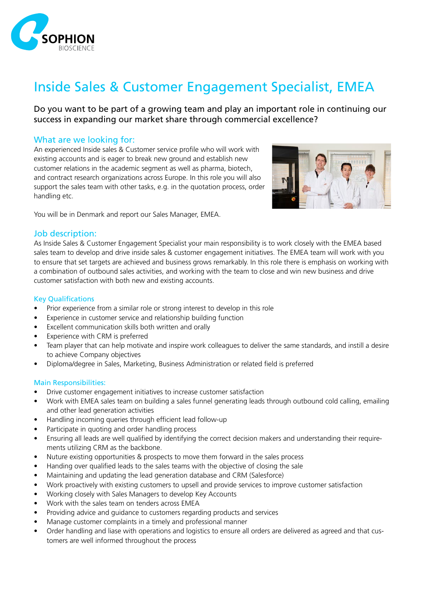

# Inside Sales & Customer Engagement Specialist, EMEA

Do you want to be part of a growing team and play an important role in continuing our success in expanding our market share through commercial excellence?

## What are we looking for:

An experienced Inside sales & Customer service profile who will work with existing accounts and is eager to break new ground and establish new customer relations in the academic segment as well as pharma, biotech, and contract research organizations across Europe. In this role you will also support the sales team with other tasks, e.g. in the quotation process, order handling etc.



You will be in Denmark and report our Sales Manager, EMEA.

### Job description:

As Inside Sales & Customer Engagement Specialist your main responsibility is to work closely with the EMEA based sales team to develop and drive inside sales & customer engagement initiatives. The EMEA team will work with you to ensure that set targets are achieved and business grows remarkably. In this role there is emphasis on working with a combination of outbound sales activities, and working with the team to close and win new business and drive customer satisfaction with both new and existing accounts.

#### Key Qualifications

- Prior experience from a similar role or strong interest to develop in this role
- Experience in customer service and relationship building function
- Excellent communication skills both written and orally
- Experience with CRM is preferred
- Team player that can help motivate and inspire work colleagues to deliver the same standards, and instill a desire to achieve Company objectives
- Diploma/degree in Sales, Marketing, Business Administration or related field is preferred

#### Main Responsibilities:

- Drive customer engagement initiatives to increase customer satisfaction
- Work with EMEA sales team on building a sales funnel generating leads through outbound cold calling, emailing and other lead generation activities
- Handling incoming queries through efficient lead follow-up
- Participate in quoting and order handling process
- Ensuring all leads are well qualified by identifying the correct decision makers and understanding their requirements utilizing CRM as the backbone.
- Nuture existing opportunities & prospects to move them forward in the sales process
- Handing over qualified leads to the sales teams with the objective of closing the sale
- Maintaining and updating the lead generation database and CRM (Salesforce)
- Work proactively with existing customers to upsell and provide services to improve customer satisfaction
- Working closely with Sales Managers to develop Key Accounts
- Work with the sales team on tenders across EMEA
- Providing advice and guidance to customers regarding products and services
- Manage customer complaints in a timely and professional manner
- Order handling and liase with operations and logistics to ensure all orders are delivered as agreed and that customers are well informed throughout the process